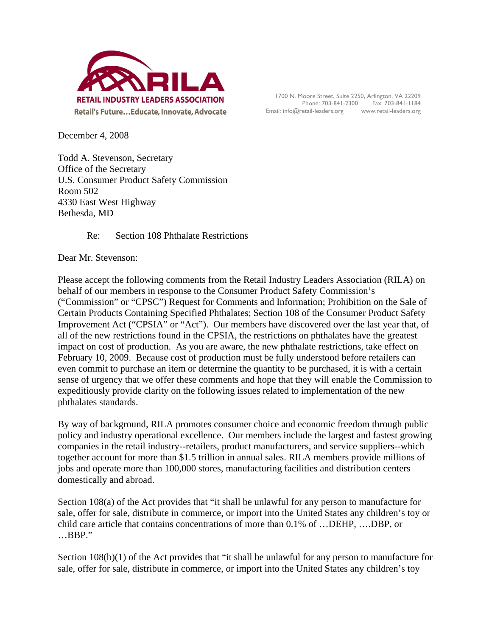

1700 N. Moore Street, Suite 2250, Arlington, VA 22209 Phone: 703-841-2300 Fax: 703-841-1184 Email: info@retail-leaders.org www.retail-leaders.org

December 4, 2008

Todd A. Stevenson, Secretary Office of the Secretary U.S. Consumer Product Safety Commission Room 502 4330 East West Highway Bethesda, MD

Re: Section 108 Phthalate Restrictions

Dear Mr. Stevenson:

Please accept the following comments from the Retail Industry Leaders Association (RILA) on behalf of our members in response to the Consumer Product Safety Commission's ("Commission" or "CPSC") Request for Comments and Information; Prohibition on the Sale of Certain Products Containing Specified Phthalates; Section 108 of the Consumer Product Safety Improvement Act ("CPSIA" or "Act"). Our members have discovered over the last year that, of all of the new restrictions found in the CPSIA, the restrictions on phthalates have the greatest impact on cost of production. As you are aware, the new phthalate restrictions, take effect on February 10, 2009. Because cost of production must be fully understood before retailers can even commit to purchase an item or determine the quantity to be purchased, it is with a certain sense of urgency that we offer these comments and hope that they will enable the Commission to expeditiously provide clarity on the following issues related to implementation of the new phthalates standards.

By way of background, RILA promotes consumer choice and economic freedom through public policy and industry operational excellence. Our members include the largest and fastest growing companies in the retail industry--retailers, product manufacturers, and service suppliers--which together account for more than \$1.5 trillion in annual sales. RILA members provide millions of jobs and operate more than 100,000 stores, manufacturing facilities and distribution centers domestically and abroad.

Section 108(a) of the Act provides that "it shall be unlawful for any person to manufacture for sale, offer for sale, distribute in commerce, or import into the United States any children's toy or child care article that contains concentrations of more than 0.1% of …DEHP, ….DBP, or …BBP."

Section 108(b)(1) of the Act provides that "it shall be unlawful for any person to manufacture for sale, offer for sale, distribute in commerce, or import into the United States any children's toy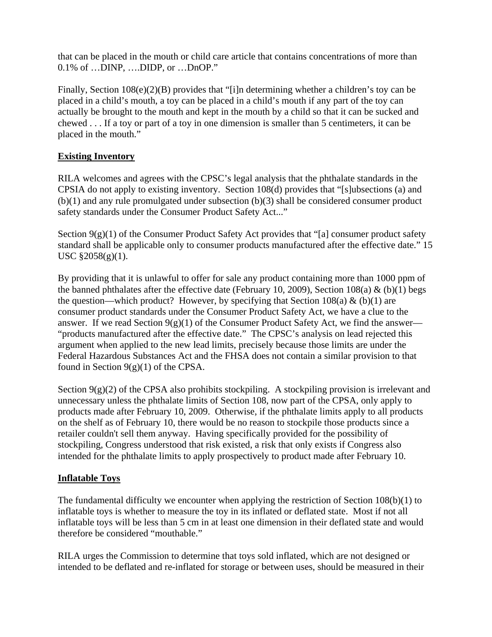that can be placed in the mouth or child care article that contains concentrations of more than 0.1% of …DINP, ….DIDP, or …DnOP."

Finally, Section 108(e)(2)(B) provides that "[i]n determining whether a children's toy can be placed in a child's mouth, a toy can be placed in a child's mouth if any part of the toy can actually be brought to the mouth and kept in the mouth by a child so that it can be sucked and chewed . . . If a toy or part of a toy in one dimension is smaller than 5 centimeters, it can be placed in the mouth."

# **Existing Inventory**

RILA welcomes and agrees with the CPSC's legal analysis that the phthalate standards in the CPSIA do not apply to existing inventory. Section 108(d) provides that "[s]ubsections (a) and (b)(1) and any rule promulgated under subsection (b)(3) shall be considered consumer product safety standards under the Consumer Product Safety Act..."

Section 9(g)(1) of the Consumer Product Safety Act provides that "[a] consumer product safety standard shall be applicable only to consumer products manufactured after the effective date." 15 USC §2058(g)(1).

By providing that it is unlawful to offer for sale any product containing more than 1000 ppm of the banned phthalates after the effective date (February 10, 2009), Section 108(a) & (b)(1) begs the question—which product? However, by specifying that Section 108(a)  $\&$  (b)(1) are consumer product standards under the Consumer Product Safety Act, we have a clue to the answer. If we read Section  $9(g)(1)$  of the Consumer Product Safety Act, we find the answer— "products manufactured after the effective date." The CPSC's analysis on lead rejected this argument when applied to the new lead limits, precisely because those limits are under the Federal Hazardous Substances Act and the FHSA does not contain a similar provision to that found in Section  $9(g)(1)$  of the CPSA.

Section  $9(g)(2)$  of the CPSA also prohibits stockpiling. A stockpiling provision is irrelevant and unnecessary unless the phthalate limits of Section 108, now part of the CPSA, only apply to products made after February 10, 2009. Otherwise, if the phthalate limits apply to all products on the shelf as of February 10, there would be no reason to stockpile those products since a retailer couldn't sell them anyway. Having specifically provided for the possibility of stockpiling, Congress understood that risk existed, a risk that only exists if Congress also intended for the phthalate limits to apply prospectively to product made after February 10.

## **Inflatable Toys**

The fundamental difficulty we encounter when applying the restriction of Section 108(b)(1) to inflatable toys is whether to measure the toy in its inflated or deflated state. Most if not all inflatable toys will be less than 5 cm in at least one dimension in their deflated state and would therefore be considered "mouthable."

RILA urges the Commission to determine that toys sold inflated, which are not designed or intended to be deflated and re-inflated for storage or between uses, should be measured in their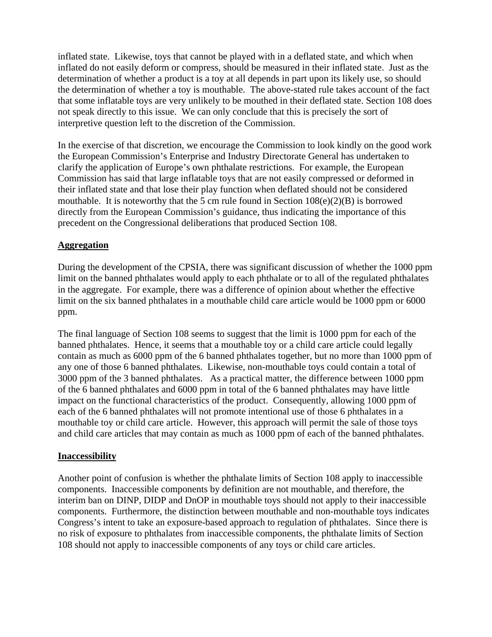inflated state. Likewise, toys that cannot be played with in a deflated state, and which when inflated do not easily deform or compress, should be measured in their inflated state. Just as the determination of whether a product is a toy at all depends in part upon its likely use, so should the determination of whether a toy is mouthable. The above-stated rule takes account of the fact that some inflatable toys are very unlikely to be mouthed in their deflated state. Section 108 does not speak directly to this issue. We can only conclude that this is precisely the sort of interpretive question left to the discretion of the Commission.

In the exercise of that discretion, we encourage the Commission to look kindly on the good work the European Commission's Enterprise and Industry Directorate General has undertaken to clarify the application of Europe's own phthalate restrictions. For example, the European Commission has said that large inflatable toys that are not easily compressed or deformed in their inflated state and that lose their play function when deflated should not be considered mouthable. It is noteworthy that the 5 cm rule found in Section  $108(e)(2)(B)$  is borrowed directly from the European Commission's guidance, thus indicating the importance of this precedent on the Congressional deliberations that produced Section 108.

## **Aggregation**

During the development of the CPSIA, there was significant discussion of whether the 1000 ppm limit on the banned phthalates would apply to each phthalate or to all of the regulated phthalates in the aggregate. For example, there was a difference of opinion about whether the effective limit on the six banned phthalates in a mouthable child care article would be 1000 ppm or 6000 ppm.

The final language of Section 108 seems to suggest that the limit is 1000 ppm for each of the banned phthalates. Hence, it seems that a mouthable toy or a child care article could legally contain as much as 6000 ppm of the 6 banned phthalates together, but no more than 1000 ppm of any one of those 6 banned phthalates. Likewise, non-mouthable toys could contain a total of 3000 ppm of the 3 banned phthalates. As a practical matter, the difference between 1000 ppm of the 6 banned phthalates and 6000 ppm in total of the 6 banned phthalates may have little impact on the functional characteristics of the product. Consequently, allowing 1000 ppm of each of the 6 banned phthalates will not promote intentional use of those 6 phthalates in a mouthable toy or child care article. However, this approach will permit the sale of those toys and child care articles that may contain as much as 1000 ppm of each of the banned phthalates.

#### **Inaccessibility**

Another point of confusion is whether the phthalate limits of Section 108 apply to inaccessible components. Inaccessible components by definition are not mouthable, and therefore, the interim ban on DINP, DIDP and DnOP in mouthable toys should not apply to their inaccessible components. Furthermore, the distinction between mouthable and non-mouthable toys indicates Congress's intent to take an exposure-based approach to regulation of phthalates. Since there is no risk of exposure to phthalates from inaccessible components, the phthalate limits of Section 108 should not apply to inaccessible components of any toys or child care articles.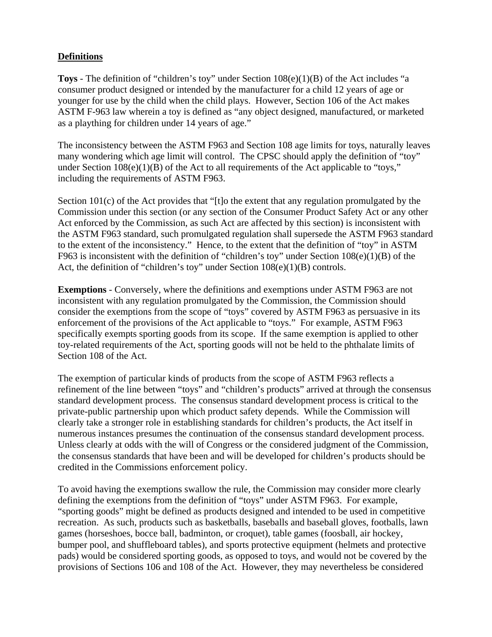# **Definitions**

**Toys** - The definition of "children's toy" under Section 108(e)(1)(B) of the Act includes "a consumer product designed or intended by the manufacturer for a child 12 years of age or younger for use by the child when the child plays. However, Section 106 of the Act makes ASTM F-963 law wherein a toy is defined as "any object designed, manufactured, or marketed as a plaything for children under 14 years of age."

The inconsistency between the ASTM F963 and Section 108 age limits for toys, naturally leaves many wondering which age limit will control. The CPSC should apply the definition of "toy" under Section  $108(e)(1)(B)$  of the Act to all requirements of the Act applicable to "toys," including the requirements of ASTM F963.

Section 101(c) of the Act provides that "[t]o the extent that any regulation promulgated by the Commission under this section (or any section of the Consumer Product Safety Act or any other Act enforced by the Commission, as such Act are affected by this section) is inconsistent with the ASTM F963 standard, such promulgated regulation shall supersede the ASTM F963 standard to the extent of the inconsistency." Hence, to the extent that the definition of "toy" in ASTM F963 is inconsistent with the definition of "children's toy" under Section 108(e)(1)(B) of the Act, the definition of "children's toy" under Section 108(e)(1)(B) controls.

**Exemptions** - Conversely, where the definitions and exemptions under ASTM F963 are not inconsistent with any regulation promulgated by the Commission, the Commission should consider the exemptions from the scope of "toys" covered by ASTM F963 as persuasive in its enforcement of the provisions of the Act applicable to "toys." For example, ASTM F963 specifically exempts sporting goods from its scope. If the same exemption is applied to other toy-related requirements of the Act, sporting goods will not be held to the phthalate limits of Section 108 of the Act.

The exemption of particular kinds of products from the scope of ASTM F963 reflects a refinement of the line between "toys" and "children's products" arrived at through the consensus standard development process. The consensus standard development process is critical to the private-public partnership upon which product safety depends. While the Commission will clearly take a stronger role in establishing standards for children's products, the Act itself in numerous instances presumes the continuation of the consensus standard development process. Unless clearly at odds with the will of Congress or the considered judgment of the Commission, the consensus standards that have been and will be developed for children's products should be credited in the Commissions enforcement policy.

To avoid having the exemptions swallow the rule, the Commission may consider more clearly defining the exemptions from the definition of "toys" under ASTM F963. For example, "sporting goods" might be defined as products designed and intended to be used in competitive recreation. As such, products such as basketballs, baseballs and baseball gloves, footballs, lawn games (horseshoes, bocce ball, badminton, or croquet), table games (foosball, air hockey, bumper pool, and shuffleboard tables), and sports protective equipment (helmets and protective pads) would be considered sporting goods, as opposed to toys, and would not be covered by the provisions of Sections 106 and 108 of the Act. However, they may nevertheless be considered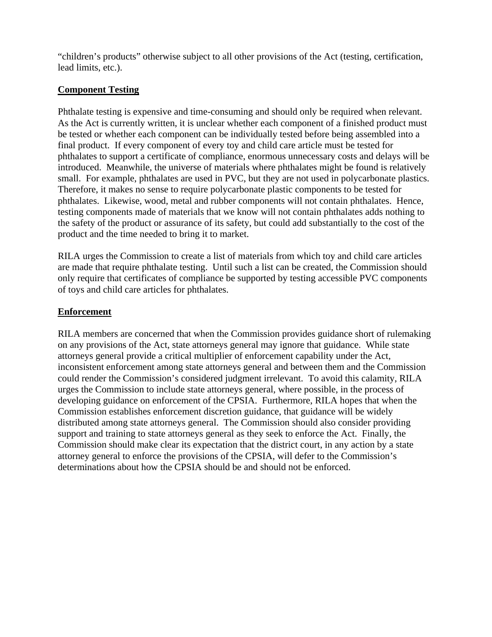"children's products" otherwise subject to all other provisions of the Act (testing, certification, lead limits, etc.).

### **Component Testing**

Phthalate testing is expensive and time-consuming and should only be required when relevant. As the Act is currently written, it is unclear whether each component of a finished product must be tested or whether each component can be individually tested before being assembled into a final product. If every component of every toy and child care article must be tested for phthalates to support a certificate of compliance, enormous unnecessary costs and delays will be introduced. Meanwhile, the universe of materials where phthalates might be found is relatively small. For example, phthalates are used in PVC, but they are not used in polycarbonate plastics. Therefore, it makes no sense to require polycarbonate plastic components to be tested for phthalates. Likewise, wood, metal and rubber components will not contain phthalates. Hence, testing components made of materials that we know will not contain phthalates adds nothing to the safety of the product or assurance of its safety, but could add substantially to the cost of the product and the time needed to bring it to market.

RILA urges the Commission to create a list of materials from which toy and child care articles are made that require phthalate testing. Until such a list can be created, the Commission should only require that certificates of compliance be supported by testing accessible PVC components of toys and child care articles for phthalates.

### **Enforcement**

RILA members are concerned that when the Commission provides guidance short of rulemaking on any provisions of the Act, state attorneys general may ignore that guidance. While state attorneys general provide a critical multiplier of enforcement capability under the Act, inconsistent enforcement among state attorneys general and between them and the Commission could render the Commission's considered judgment irrelevant. To avoid this calamity, RILA urges the Commission to include state attorneys general, where possible, in the process of developing guidance on enforcement of the CPSIA. Furthermore, RILA hopes that when the Commission establishes enforcement discretion guidance, that guidance will be widely distributed among state attorneys general. The Commission should also consider providing support and training to state attorneys general as they seek to enforce the Act. Finally, the Commission should make clear its expectation that the district court, in any action by a state attorney general to enforce the provisions of the CPSIA, will defer to the Commission's determinations about how the CPSIA should be and should not be enforced.